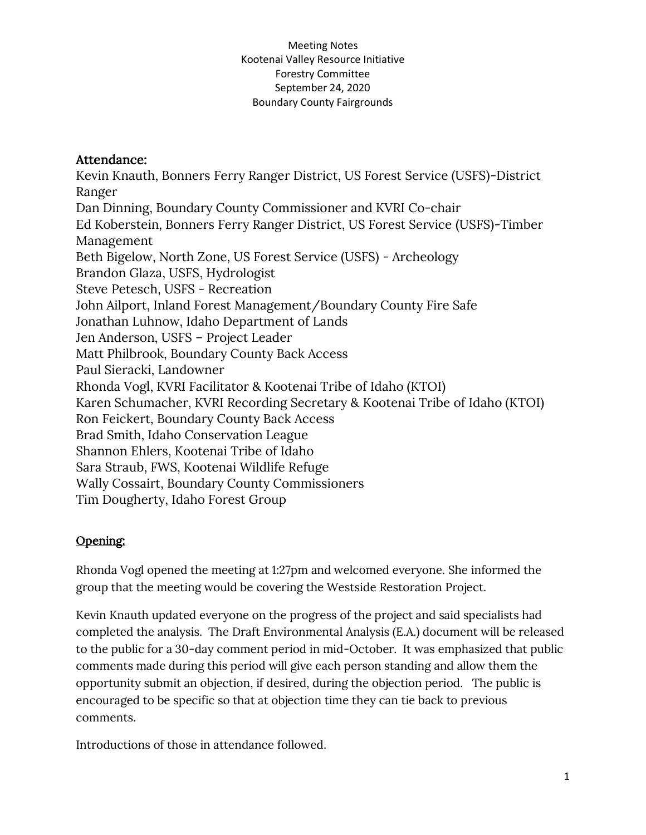## Attendance:

Kevin Knauth, Bonners Ferry Ranger District, US Forest Service (USFS)-District Ranger Dan Dinning, Boundary County Commissioner and KVRI Co-chair Ed Koberstein, Bonners Ferry Ranger District, US Forest Service (USFS)-Timber Management Beth Bigelow, North Zone, US Forest Service (USFS) - Archeology Brandon Glaza, USFS, Hydrologist Steve Petesch, USFS - Recreation John Ailport, Inland Forest Management/Boundary County Fire Safe Jonathan Luhnow, Idaho Department of Lands Jen Anderson, USFS – Project Leader Matt Philbrook, Boundary County Back Access Paul Sieracki, Landowner Rhonda Vogl, KVRI Facilitator & Kootenai Tribe of Idaho (KTOI) Karen Schumacher, KVRI Recording Secretary & Kootenai Tribe of Idaho (KTOI) Ron Feickert, Boundary County Back Access Brad Smith, Idaho Conservation League Shannon Ehlers, Kootenai Tribe of Idaho Sara Straub, FWS, Kootenai Wildlife Refuge Wally Cossairt, Boundary County Commissioners Tim Dougherty, Idaho Forest Group

# Opening:

Rhonda Vogl opened the meeting at 1:27pm and welcomed everyone. She informed the group that the meeting would be covering the Westside Restoration Project.

Kevin Knauth updated everyone on the progress of the project and said specialists had completed the analysis. The Draft Environmental Analysis (E.A.) document will be released to the public for a 30-day comment period in mid-October. It was emphasized that public comments made during this period will give each person standing and allow them the opportunity submit an objection, if desired, during the objection period. The public is encouraged to be specific so that at objection time they can tie back to previous comments.

Introductions of those in attendance followed.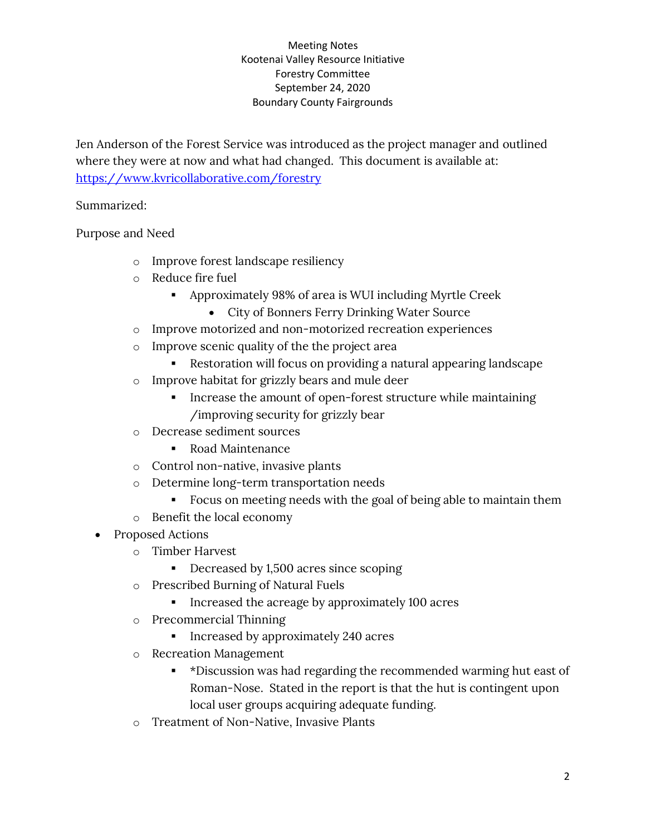Jen Anderson of the Forest Service was introduced as the project manager and outlined where they were at now and what had changed. This document is available at: <https://www.kvricollaborative.com/forestry>

Summarized:

Purpose and Need

- o Improve forest landscape resiliency
- o Reduce fire fuel
	- Approximately 98% of area is WUI including Myrtle Creek
		- City of Bonners Ferry Drinking Water Source
- o Improve motorized and non-motorized recreation experiences
- o Improve scenic quality of the the project area
	- Restoration will focus on providing a natural appearing landscape
- o Improve habitat for grizzly bears and mule deer
	- Increase the amount of open-forest structure while maintaining /improving security for grizzly bear
- o Decrease sediment sources
	- Road Maintenance
- o Control non-native, invasive plants
- o Determine long-term transportation needs
	- Focus on meeting needs with the goal of being able to maintain them
- o Benefit the local economy
- Proposed Actions
	- o Timber Harvest
		- Decreased by 1,500 acres since scoping
	- o Prescribed Burning of Natural Fuels
		- **•** Increased the acreage by approximately 100 acres
	- o Precommercial Thinning
		- Increased by approximately 240 acres
	- o Recreation Management
		- \*Discussion was had regarding the recommended warming hut east of Roman-Nose. Stated in the report is that the hut is contingent upon local user groups acquiring adequate funding.
	- o Treatment of Non-Native, Invasive Plants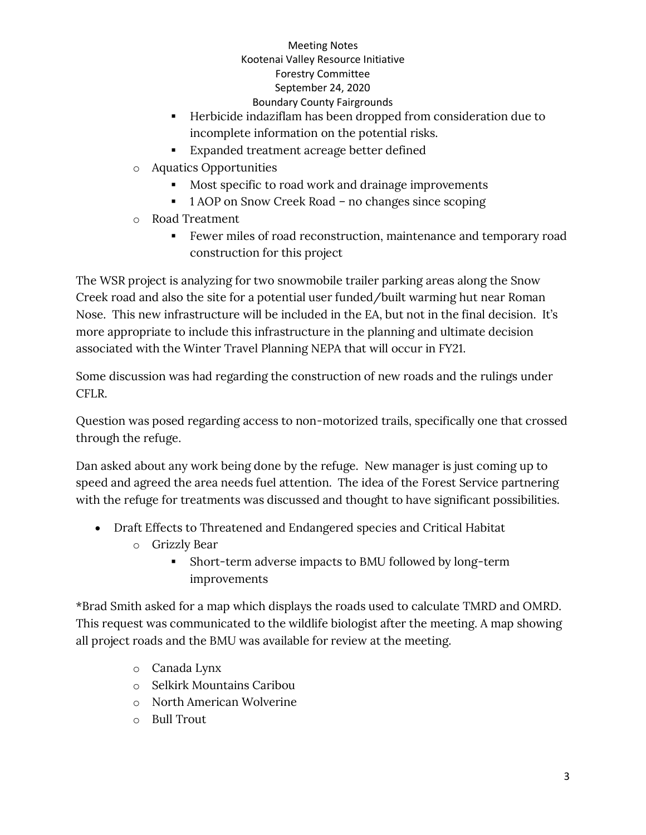- Herbicide indaziflam has been dropped from consideration due to incomplete information on the potential risks.
- Expanded treatment acreage better defined
- o Aquatics Opportunities
	- Most specific to road work and drainage improvements
	- 1 AOP on Snow Creek Road no changes since scoping
- o Road Treatment
	- Fewer miles of road reconstruction, maintenance and temporary road construction for this project

The WSR project is analyzing for two snowmobile trailer parking areas along the Snow Creek road and also the site for a potential user funded/built warming hut near Roman Nose. This new infrastructure will be included in the EA, but not in the final decision. It's more appropriate to include this infrastructure in the planning and ultimate decision associated with the Winter Travel Planning NEPA that will occur in FY21.

Some discussion was had regarding the construction of new roads and the rulings under CFLR.

Question was posed regarding access to non-motorized trails, specifically one that crossed through the refuge.

Dan asked about any work being done by the refuge. New manager is just coming up to speed and agreed the area needs fuel attention. The idea of the Forest Service partnering with the refuge for treatments was discussed and thought to have significant possibilities.

- Draft Effects to Threatened and Endangered species and Critical Habitat
	- o Grizzly Bear
		- Short-term adverse impacts to BMU followed by long-term improvements

\*Brad Smith asked for a map which displays the roads used to calculate TMRD and OMRD. This request was communicated to the wildlife biologist after the meeting. A map showing all project roads and the BMU was available for review at the meeting.

- o Canada Lynx
- o Selkirk Mountains Caribou
- o North American Wolverine
- o Bull Trout